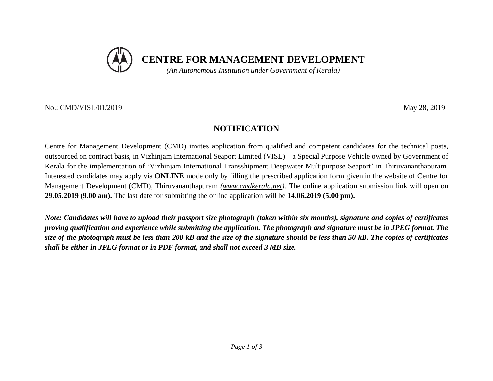

No.: CMD/VISL/01/2019May 28, 2019

## **NOTIFICATION**

Centre for Management Development (CMD) invites application from qualified and competent candidates for the technical posts, outsourced on contract basis, in Vizhinjam International Seaport Limited (VISL) – a Special Purpose Vehicle owned by Government of Kerala for the implementation of 'Vizhinjam International Transshipment Deepwater Multipurpose Seaport' in Thiruvananthapuram. Interested candidates may apply via **ONLINE** mode only by filling the prescribed application form given in the website of Centre for Management Development (CMD), Thiruvananthapuram *(www.cmdkerala.net).* The online application submission link will open on **29.05.2019 (9.00 am).** The last date for submitting the online application will be **14.06.2019 (5.00 pm).**

*Note: Candidates will have to upload their passport size photograph (taken within six months), signature and copies of certificates proving qualification and experience while submitting the application. The photograph and signature must be in JPEG format. The size of the photograph must be less than 200 kB and the size of the signature should be less than 50 kB. The copies of certificates shall be either in JPEG format or in PDF format, and shall not exceed 3 MB size.*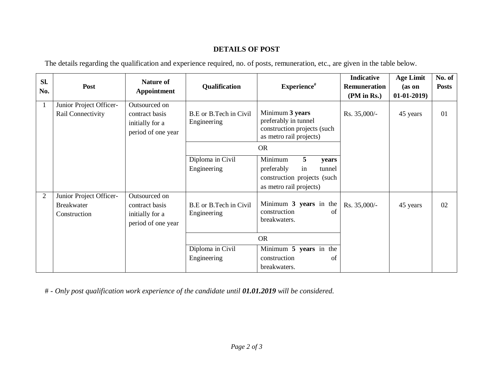## **DETAILS OF POST**

The details regarding the qualification and experience required, no. of posts, remuneration, etc., are given in the table below.

| Sl.<br>No.     | Post                                                         | <b>Nature of</b><br>Appointment                                          | Qualification                         | Experience <sup>#</sup>                                                                                       | <b>Indicative</b><br><b>Remuneration</b><br>(PM in Rs.) | <b>Age Limit</b><br>(as on<br>$01-01-2019$ | No. of<br><b>Posts</b> |
|----------------|--------------------------------------------------------------|--------------------------------------------------------------------------|---------------------------------------|---------------------------------------------------------------------------------------------------------------|---------------------------------------------------------|--------------------------------------------|------------------------|
| -1             | Junior Project Officer-<br>Rail Connectivity                 | Outsourced on<br>contract basis<br>initially for a<br>period of one year | B.E or B.Tech in Civil<br>Engineering | Minimum 3 years<br>preferably in tunnel<br>construction projects (such<br>as metro rail projects)             | Rs. 35,000/-                                            | 45 years                                   | 01                     |
|                |                                                              |                                                                          | <b>OR</b>                             |                                                                                                               |                                                         |                                            |                        |
|                |                                                              |                                                                          | Diploma in Civil<br>Engineering       | Minimum<br>5<br>years<br>in<br>preferably<br>tunnel<br>construction projects (such<br>as metro rail projects) |                                                         |                                            |                        |
| $\overline{2}$ | Junior Project Officer-<br><b>Breakwater</b><br>Construction | Outsourced on<br>contract basis<br>initially for a<br>period of one year | B.E or B.Tech in Civil<br>Engineering | Minimum 3 years in the<br>construction<br>of<br>breakwaters.                                                  | Rs. 35,000/-                                            | 45 years                                   | 02                     |
|                |                                                              |                                                                          | <b>OR</b>                             |                                                                                                               |                                                         |                                            |                        |
|                |                                                              |                                                                          | Diploma in Civil                      | Minimum 5 years in the                                                                                        |                                                         |                                            |                        |
|                |                                                              |                                                                          | Engineering                           | construction<br>of<br>breakwaters.                                                                            |                                                         |                                            |                        |

# - *Only post qualification work experience of the candidate until 01.01.2019 will be considered.*